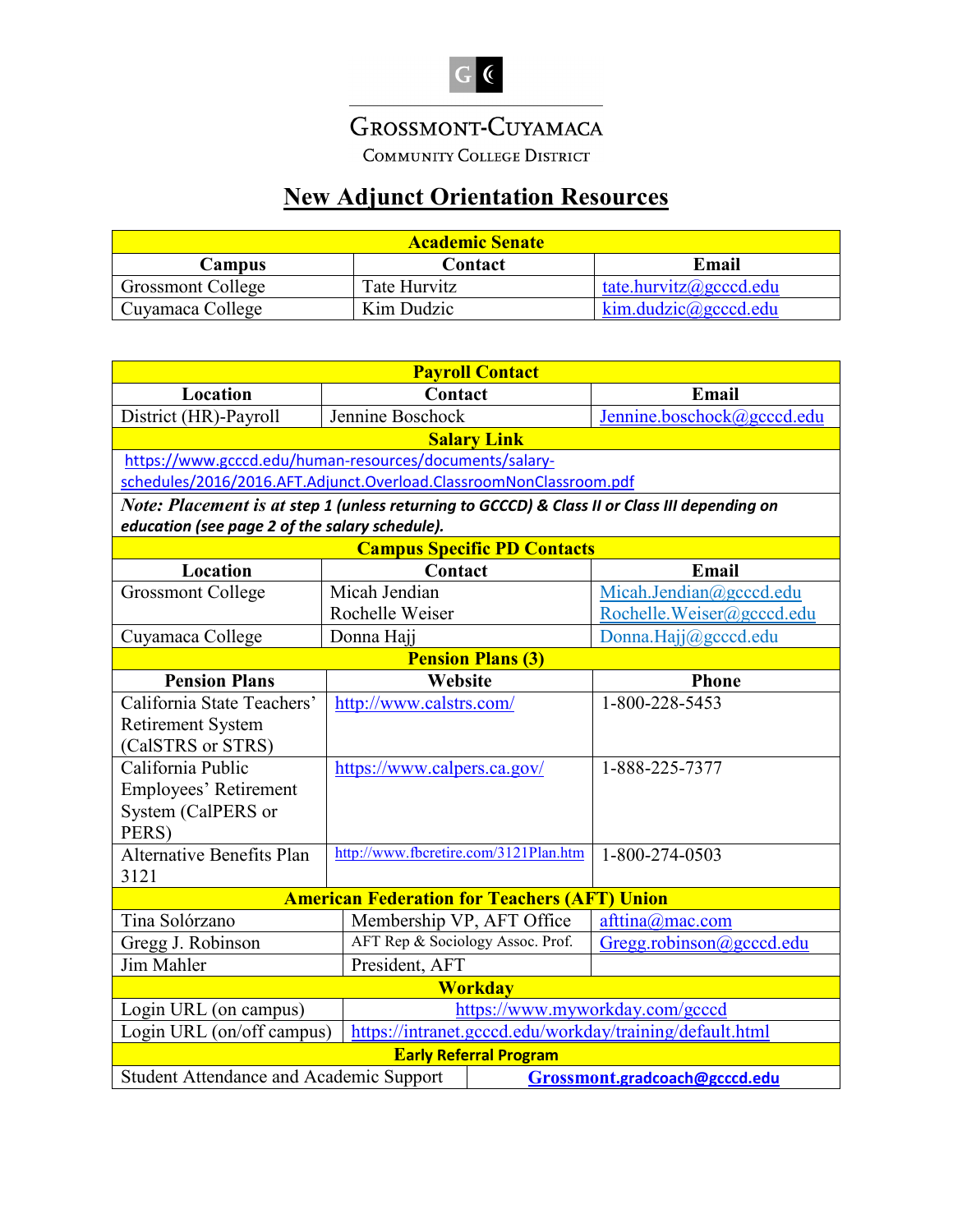## GROSSMONT-CUYAMACA

COMMUNITY COLLEGE DISTRICT

## **New Adjunct Orientation Resources**

| <b>Academic Senate</b>   |              |                        |  |
|--------------------------|--------------|------------------------|--|
| Campus                   | Contact      | Email                  |  |
| <b>Grossmont College</b> | Tate Hurvitz | tate.hurvitz@gcccd.edu |  |
| Cuyamaca College         | Kim Dudzic   | kim.dudzic@geccd.edu   |  |

| <b>Payroll Contact</b>                                                                        |                                       |                                    |                            |  |  |
|-----------------------------------------------------------------------------------------------|---------------------------------------|------------------------------------|----------------------------|--|--|
| Location                                                                                      | Contact                               |                                    | Email                      |  |  |
| District (HR)-Payroll                                                                         | Jennine Boschock                      |                                    | Jennine.boschock@gcccd.edu |  |  |
|                                                                                               |                                       | <b>Salary Link</b>                 |                            |  |  |
| https://www.gcccd.edu/human-resources/documents/salary-                                       |                                       |                                    |                            |  |  |
| schedules/2016/2016.AFT.Adjunct.Overload.ClassroomNonClassroom.pdf                            |                                       |                                    |                            |  |  |
| Note: Placement is at step 1 (unless returning to GCCCD) & Class II or Class III depending on |                                       |                                    |                            |  |  |
| education (see page 2 of the salary schedule).                                                |                                       |                                    |                            |  |  |
|                                                                                               |                                       | <b>Campus Specific PD Contacts</b> |                            |  |  |
| Location                                                                                      | Contact                               |                                    | Email                      |  |  |
| <b>Grossmont College</b>                                                                      | Micah Jendian                         |                                    | Micah.Jendian@gcccd.edu    |  |  |
|                                                                                               | Rochelle Weiser                       |                                    | Rochelle.Weiser@gcccd.edu  |  |  |
| Cuyamaca College                                                                              | Donna Hajj                            |                                    | Donna.Hajj@gcccd.edu       |  |  |
|                                                                                               |                                       | <b>Pension Plans (3)</b>           |                            |  |  |
| <b>Pension Plans</b>                                                                          | Website                               |                                    | <b>Phone</b>               |  |  |
| California State Teachers'                                                                    | http://www.calstrs.com/               |                                    | 1-800-228-5453             |  |  |
| <b>Retirement System</b>                                                                      |                                       |                                    |                            |  |  |
| (CalSTRS or STRS)                                                                             |                                       |                                    |                            |  |  |
| California Public                                                                             | https://www.calpers.ca.gov/           |                                    | 1-888-225-7377             |  |  |
| Employees' Retirement                                                                         |                                       |                                    |                            |  |  |
| System (CalPERS or                                                                            |                                       |                                    |                            |  |  |
| PERS)                                                                                         |                                       |                                    |                            |  |  |
| <b>Alternative Benefits Plan</b>                                                              | http://www.fbcretire.com/3121Plan.htm |                                    | 1-800-274-0503             |  |  |
| 3121                                                                                          |                                       |                                    |                            |  |  |
| <b>American Federation for Teachers (AFT) Union</b>                                           |                                       |                                    |                            |  |  |
| Tina Solórzano                                                                                | Membership VP, AFT Office             |                                    | afttina@mac.com            |  |  |
| Gregg J. Robinson                                                                             | AFT Rep & Sociology Assoc. Prof.      |                                    | Gregg.robinson@gcccd.edu   |  |  |
| Jim Mahler                                                                                    | President, AFT                        |                                    |                            |  |  |
| <b>Workday</b>                                                                                |                                       |                                    |                            |  |  |
| Login URL (on campus)                                                                         |                                       | https://www.myworkday.com/gcccd    |                            |  |  |
| Login URL (on/off campus)<br>https://intranet.gcccd.edu/workday/training/default.html         |                                       |                                    |                            |  |  |
| <b>Early Referral Program</b>                                                                 |                                       |                                    |                            |  |  |
| <b>Student Attendance and Academic Support</b><br>Grossmont.gradcoach@gcccd.edu               |                                       |                                    |                            |  |  |